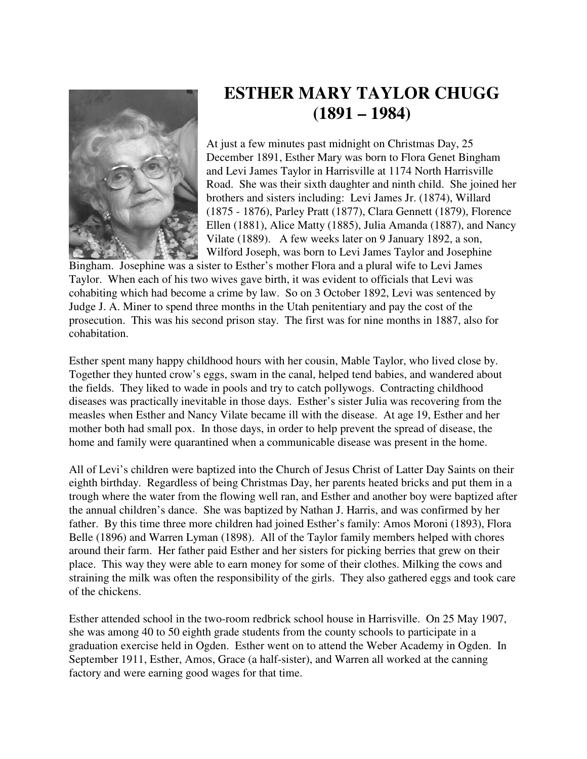

## **ESTHER MARY TAYLOR CHUGG (1891 – 1984)**

At just a few minutes past midnight on Christmas Day, 25 December 1891, Esther Mary was born to Flora Genet Bingham and Levi James Taylor in Harrisville at 1174 North Harrisville Road. She was their sixth daughter and ninth child. She joined her brothers and sisters including: Levi James Jr. (1874), Willard (1875 - 1876), Parley Pratt (1877), Clara Gennett (1879), Florence Ellen (1881), Alice Matty (1885), Julia Amanda (1887), and Nancy Vilate (1889). A few weeks later on 9 January 1892, a son, Wilford Joseph, was born to Levi James Taylor and Josephine

Bingham. Josephine was a sister to Esther's mother Flora and a plural wife to Levi James Taylor. When each of his two wives gave birth, it was evident to officials that Levi was cohabiting which had become a crime by law. So on 3 October 1892, Levi was sentenced by Judge J. A. Miner to spend three months in the Utah penitentiary and pay the cost of the prosecution. This was his second prison stay. The first was for nine months in 1887, also for cohabitation.

Esther spent many happy childhood hours with her cousin, Mable Taylor, who lived close by. Together they hunted crow's eggs, swam in the canal, helped tend babies, and wandered about the fields. They liked to wade in pools and try to catch pollywogs. Contracting childhood diseases was practically inevitable in those days. Esther's sister Julia was recovering from the measles when Esther and Nancy Vilate became ill with the disease. At age 19, Esther and her mother both had small pox. In those days, in order to help prevent the spread of disease, the home and family were quarantined when a communicable disease was present in the home.

All of Levi's children were baptized into the Church of Jesus Christ of Latter Day Saints on their eighth birthday. Regardless of being Christmas Day, her parents heated bricks and put them in a trough where the water from the flowing well ran, and Esther and another boy were baptized after the annual children's dance. She was baptized by Nathan J. Harris, and was confirmed by her father. By this time three more children had joined Esther's family: Amos Moroni (1893), Flora Belle (1896) and Warren Lyman (1898). All of the Taylor family members helped with chores around their farm. Her father paid Esther and her sisters for picking berries that grew on their place. This way they were able to earn money for some of their clothes. Milking the cows and straining the milk was often the responsibility of the girls. They also gathered eggs and took care of the chickens.

Esther attended school in the two-room redbrick school house in Harrisville. On 25 May 1907, she was among 40 to 50 eighth grade students from the county schools to participate in a graduation exercise held in Ogden. Esther went on to attend the Weber Academy in Ogden. In September 1911, Esther, Amos, Grace (a half-sister), and Warren all worked at the canning factory and were earning good wages for that time.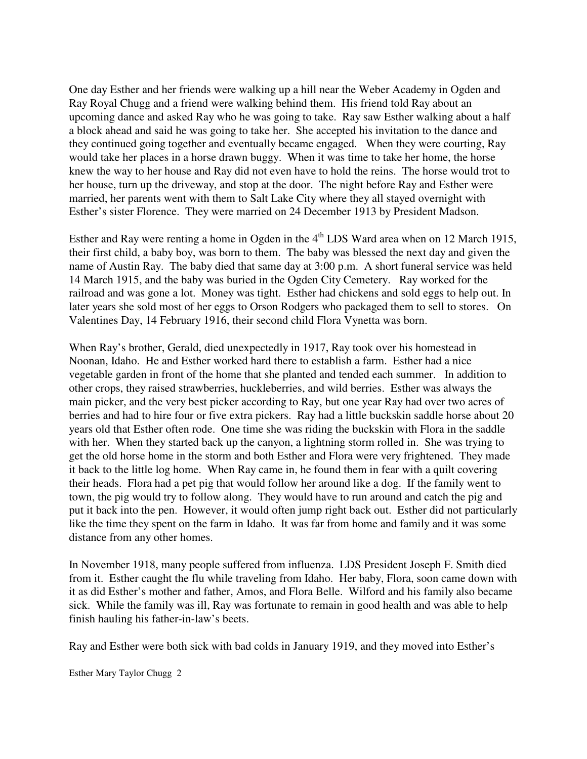One day Esther and her friends were walking up a hill near the Weber Academy in Ogden and Ray Royal Chugg and a friend were walking behind them. His friend told Ray about an upcoming dance and asked Ray who he was going to take. Ray saw Esther walking about a half a block ahead and said he was going to take her. She accepted his invitation to the dance and they continued going together and eventually became engaged. When they were courting, Ray would take her places in a horse drawn buggy. When it was time to take her home, the horse knew the way to her house and Ray did not even have to hold the reins. The horse would trot to her house, turn up the driveway, and stop at the door. The night before Ray and Esther were married, her parents went with them to Salt Lake City where they all stayed overnight with Esther's sister Florence. They were married on 24 December 1913 by President Madson.

Esther and Ray were renting a home in Ogden in the  $4<sup>th</sup>$  LDS Ward area when on 12 March 1915, their first child, a baby boy, was born to them. The baby was blessed the next day and given the name of Austin Ray. The baby died that same day at 3:00 p.m. A short funeral service was held 14 March 1915, and the baby was buried in the Ogden City Cemetery. Ray worked for the railroad and was gone a lot. Money was tight. Esther had chickens and sold eggs to help out. In later years she sold most of her eggs to Orson Rodgers who packaged them to sell to stores. On Valentines Day, 14 February 1916, their second child Flora Vynetta was born.

When Ray's brother, Gerald, died unexpectedly in 1917, Ray took over his homestead in Noonan, Idaho. He and Esther worked hard there to establish a farm. Esther had a nice vegetable garden in front of the home that she planted and tended each summer. In addition to other crops, they raised strawberries, huckleberries, and wild berries. Esther was always the main picker, and the very best picker according to Ray, but one year Ray had over two acres of berries and had to hire four or five extra pickers. Ray had a little buckskin saddle horse about 20 years old that Esther often rode. One time she was riding the buckskin with Flora in the saddle with her. When they started back up the canyon, a lightning storm rolled in. She was trying to get the old horse home in the storm and both Esther and Flora were very frightened. They made it back to the little log home. When Ray came in, he found them in fear with a quilt covering their heads. Flora had a pet pig that would follow her around like a dog. If the family went to town, the pig would try to follow along. They would have to run around and catch the pig and put it back into the pen. However, it would often jump right back out. Esther did not particularly like the time they spent on the farm in Idaho. It was far from home and family and it was some distance from any other homes.

In November 1918, many people suffered from influenza. LDS President Joseph F. Smith died from it. Esther caught the flu while traveling from Idaho. Her baby, Flora, soon came down with it as did Esther's mother and father, Amos, and Flora Belle. Wilford and his family also became sick. While the family was ill, Ray was fortunate to remain in good health and was able to help finish hauling his father-in-law's beets.

Ray and Esther were both sick with bad colds in January 1919, and they moved into Esther's

Esther Mary Taylor Chugg 2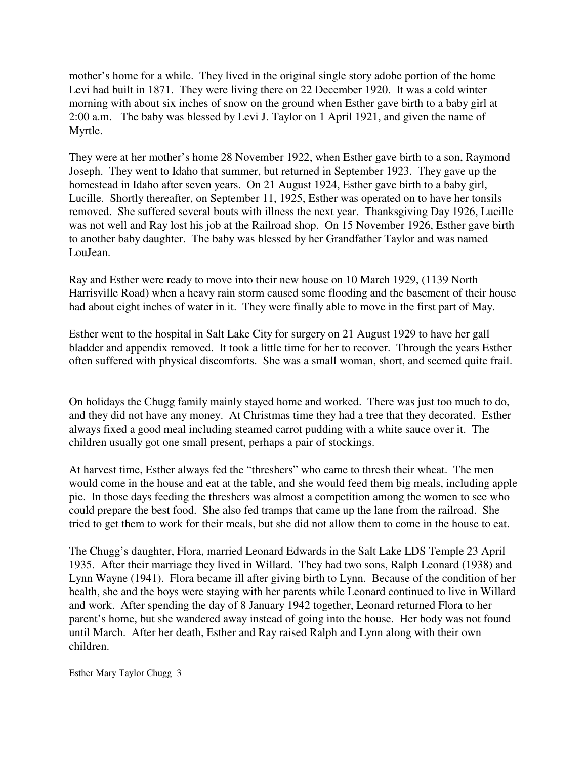mother's home for a while. They lived in the original single story adobe portion of the home Levi had built in 1871. They were living there on 22 December 1920. It was a cold winter morning with about six inches of snow on the ground when Esther gave birth to a baby girl at 2:00 a.m. The baby was blessed by Levi J. Taylor on 1 April 1921, and given the name of Myrtle.

They were at her mother's home 28 November 1922, when Esther gave birth to a son, Raymond Joseph. They went to Idaho that summer, but returned in September 1923. They gave up the homestead in Idaho after seven years. On 21 August 1924, Esther gave birth to a baby girl, Lucille. Shortly thereafter, on September 11, 1925, Esther was operated on to have her tonsils removed. She suffered several bouts with illness the next year. Thanksgiving Day 1926, Lucille was not well and Ray lost his job at the Railroad shop. On 15 November 1926, Esther gave birth to another baby daughter. The baby was blessed by her Grandfather Taylor and was named LouJean.

Ray and Esther were ready to move into their new house on 10 March 1929, (1139 North Harrisville Road) when a heavy rain storm caused some flooding and the basement of their house had about eight inches of water in it. They were finally able to move in the first part of May.

Esther went to the hospital in Salt Lake City for surgery on 21 August 1929 to have her gall bladder and appendix removed. It took a little time for her to recover. Through the years Esther often suffered with physical discomforts. She was a small woman, short, and seemed quite frail.

On holidays the Chugg family mainly stayed home and worked. There was just too much to do, and they did not have any money. At Christmas time they had a tree that they decorated. Esther always fixed a good meal including steamed carrot pudding with a white sauce over it. The children usually got one small present, perhaps a pair of stockings.

At harvest time, Esther always fed the "threshers" who came to thresh their wheat. The men would come in the house and eat at the table, and she would feed them big meals, including apple pie. In those days feeding the threshers was almost a competition among the women to see who could prepare the best food. She also fed tramps that came up the lane from the railroad. She tried to get them to work for their meals, but she did not allow them to come in the house to eat.

The Chugg's daughter, Flora, married Leonard Edwards in the Salt Lake LDS Temple 23 April 1935. After their marriage they lived in Willard. They had two sons, Ralph Leonard (1938) and Lynn Wayne (1941). Flora became ill after giving birth to Lynn. Because of the condition of her health, she and the boys were staying with her parents while Leonard continued to live in Willard and work. After spending the day of 8 January 1942 together, Leonard returned Flora to her parent's home, but she wandered away instead of going into the house. Her body was not found until March. After her death, Esther and Ray raised Ralph and Lynn along with their own children.

Esther Mary Taylor Chugg 3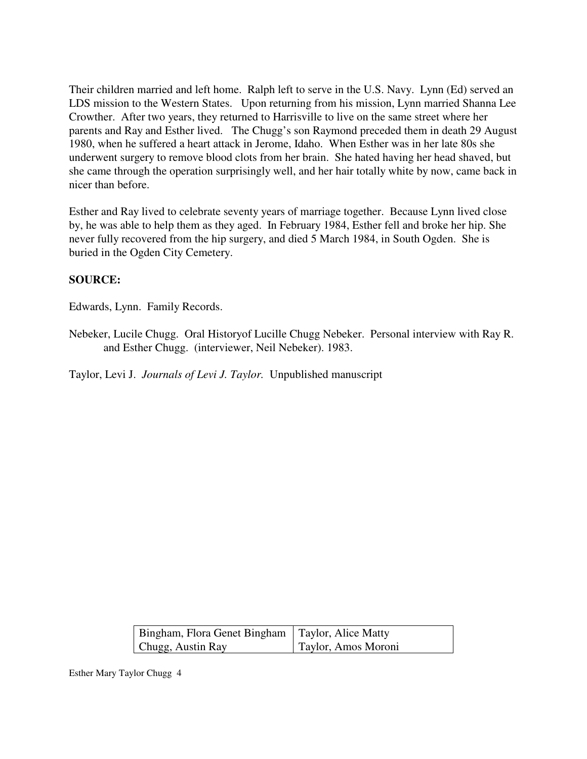Their children married and left home. Ralph left to serve in the U.S. Navy. Lynn (Ed) served an LDS mission to the Western States. Upon returning from his mission, Lynn married Shanna Lee Crowther. After two years, they returned to Harrisville to live on the same street where her parents and Ray and Esther lived. The Chugg's son Raymond preceded them in death 29 August 1980, when he suffered a heart attack in Jerome, Idaho. When Esther was in her late 80s she underwent surgery to remove blood clots from her brain. She hated having her head shaved, but she came through the operation surprisingly well, and her hair totally white by now, came back in nicer than before.

Esther and Ray lived to celebrate seventy years of marriage together. Because Lynn lived close by, he was able to help them as they aged. In February 1984, Esther fell and broke her hip. She never fully recovered from the hip surgery, and died 5 March 1984, in South Ogden. She is buried in the Ogden City Cemetery.

## **SOURCE:**

Edwards, Lynn. Family Records.

Nebeker, Lucile Chugg. Oral Historyof Lucille Chugg Nebeker. Personal interview with Ray R. and Esther Chugg. (interviewer, Neil Nebeker). 1983.

Taylor, Levi J. *Journals of Levi J. Taylor.* Unpublished manuscript

| Bingham, Flora Genet Bingham   Taylor, Alice Matty |                     |
|----------------------------------------------------|---------------------|
| Chugg, Austin Ray                                  | Taylor, Amos Moroni |

Esther Mary Taylor Chugg 4